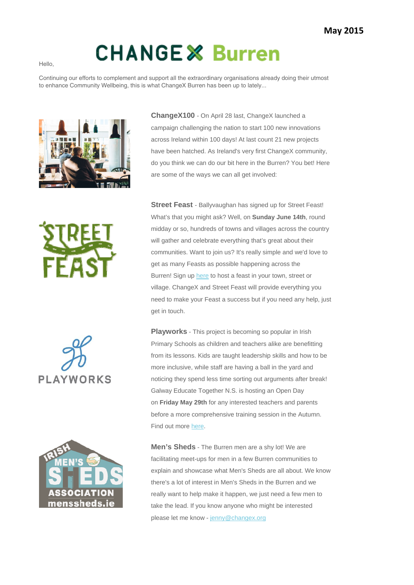## **CHANGE & Burren**

Continuing our efforts to complement and support all the extraordinary organisations already doing their utmost to enhance Community Wellbeing, this is what ChangeX Burren has been up to lately...



**ChangeX100** - On April 28 last, ChangeX launched a campaign challenging the nation to start 100 new innovations across Ireland within 100 days! At last count 21 new projects have been hatched. As Ireland's very first ChangeX community, do you think we can do our bit here in the Burren? You bet! Here are some of the ways we can all get involved:







**Street Feast** - Ballyvaughan has signed up for Street Feast! What's that you might ask? Well, on **Sunday June 14th**, round midday or so, hundreds of towns and villages across the country will gather and celebrate everything that's great about their communities. Want to join us? It's really simple and we'd love to get as many Feasts as possible happening across the Burren! Sign up here to host a feast in your town, street or village. ChangeX and Street Feast will provide everything you need to make your Feast a success but if you need any help, just get in touch.

**Playworks** - This project is becoming so popular in Irish Primary Schools as children and teachers alike are benefitting from its lessons. Kids are taught leadership skills and how to be more inclusive, while staff are having a ball in the yard and noticing they spend less time sorting out arguments after break! Galway Educate Together N.S. is hosting an Open Day on **Friday May 29th** for any interested teachers and parents before a more comprehensive training session in the Autumn. Find out more here.

**Men's Sheds** - The Burren men are a shy lot! We are facilitating meet-ups for men in a few Burren communities to explain and showcase what Men's Sheds are all about. We know there's a lot of interest in Men's Sheds in the Burren and we really want to help make it happen, we just need a few men to take the lead. If you know anyone who might be interested please let me know - jenny@changex.org

Hello,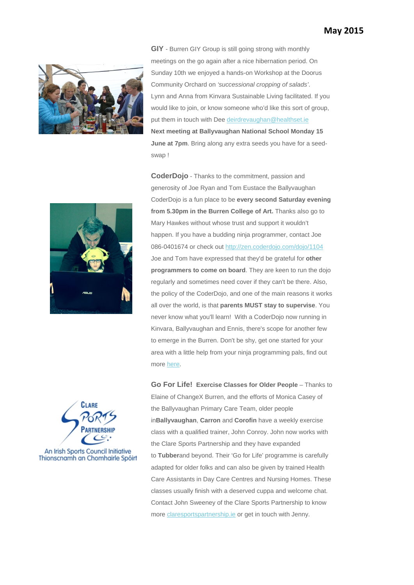

**GIY** - Burren GIY Group is still going strong with monthly meetings on the go again after a nice hibernation period. On Sunday 10th we enjoyed a hands-on Workshop at the Doorus Community Orchard on *'successional cropping of salads'*. Lynn and Anna from Kinvara Sustainable Living facilitated. If you would like to join, or know someone who'd like this sort of group, put them in touch with Dee deirdrevaughan@healthset.ie **Next meeting at Ballyvaughan National School Monday 15 June at 7pm**. Bring along any extra seeds you have for a seedswap !



**CoderDojo** - Thanks to the commitment, passion and generosity of Joe Ryan and Tom Eustace the Ballyvaughan CoderDojo is a fun place to be **every second Saturday evening from 5.30pm in the Burren College of Art.** Thanks also go to Mary Hawkes without whose trust and support it wouldn't happen. If you have a budding ninja programmer, contact Joe 086-0401674 or check out http://zen.coderdojo.com/dojo/1104 Joe and Tom have expressed that they'd be grateful for **other programmers to come on board**. They are keen to run the dojo regularly and sometimes need cover if they can't be there. Also, the policy of the CoderDojo, and one of the main reasons it works all over the world, is that **parents MUST stay to supervise**. You never know what you'll learn! With a CoderDojo now running in Kinvara, Ballyvaughan and Ennis, there's scope for another few to emerge in the Burren. Don't be shy, get one started for your area with a little help from your ninja programming pals, find out more here.